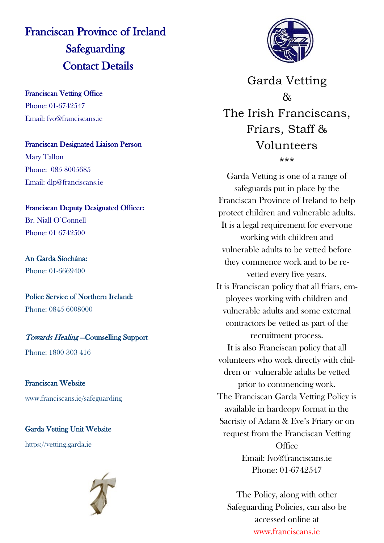## Franciscan Province of Ireland **Safeguarding** Contact Details

Franciscan Vetting Office Phone: 01-6742547 Email: fvo@franciscans.ie

Franciscan Designated Liaison Person Mary Tallon Phone: 085 8005685 Email: dlp@franciscans.ie

#### Franciscan Deputy Designated Officer:

Br. Niall O'Connell Phone: 01 6742500

An Garda Síochána: Phone: 01-6669400

Police Service of Northern Ireland: Phone: 0845 6008000

### Towards Healing —Counselling Support

Phone: 1800 303 416

Franciscan Website www.franciscans.ie/safeguarding

Garda Vetting Unit Website

https://vetting.garda.ie





Garda Vetting  $\lambda$ The Irish Franciscans, Friars, Staff & Volunteers \*\*\*

Garda Vetting is one of a range of safeguards put in place by the Franciscan Province of Ireland to help protect children and vulnerable adults. It is a legal requirement for everyone working with children and vulnerable adults to be vetted before they commence work and to be revetted every five years. It is Franciscan policy that all friars, employees working with children and vulnerable adults and some external contractors be vetted as part of the recruitment process. It is also Franciscan policy that all volunteers who work directly with children or vulnerable adults be vetted prior to commencing work. The Franciscan Garda Vetting Policy is available in hardcopy format in the Sacristy of Adam & Eve's Friary or on request from the Franciscan Vetting **Office** Email: fvo@franciscans.ie Phone: 01-6742547

The Policy, along with other Safeguarding Policies, can also be accessed online at www.franciscans.ie